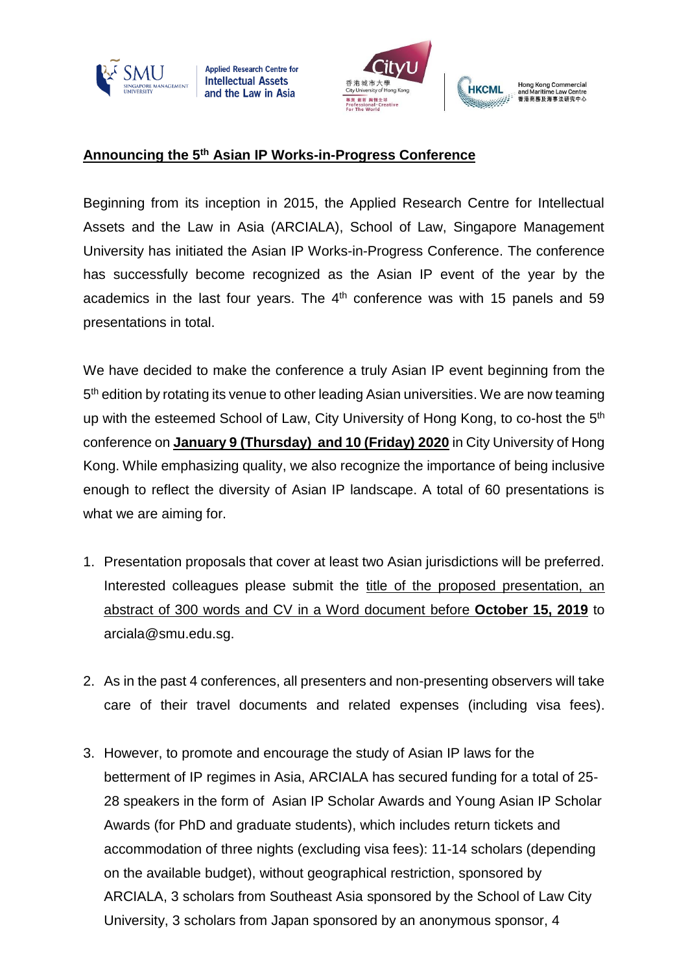

**Applied Research Centre for Intellectual Assets** and the Law in Asia



## Hong Kong Commercial<br>and Maritime Law Centre<br>香港商務及海事法研究中心 **НКСМІ** أأأبس والمناقص

## **Announcing the 5 th Asian IP Works-in-Progress Conference**

Beginning from its inception in 2015, the Applied Research Centre for Intellectual Assets and the Law in Asia (ARCIALA), School of Law, Singapore Management University has initiated the Asian IP Works-in-Progress Conference. The conference has successfully become recognized as the Asian IP event of the year by the academics in the last four years. The  $4<sup>th</sup>$  conference was with 15 panels and 59 presentations in total.

We have decided to make the conference a truly Asian IP event beginning from the 5<sup>th</sup> edition by rotating its venue to other leading Asian universities. We are now teaming up with the esteemed School of Law, City University of Hong Kong, to co-host the 5<sup>th</sup> conference on **January 9 (Thursday) and 10 (Friday) 2020** in City University of Hong Kong. While emphasizing quality, we also recognize the importance of being inclusive enough to reflect the diversity of Asian IP landscape. A total of 60 presentations is what we are aiming for.

- 1. Presentation proposals that cover at least two Asian jurisdictions will be preferred. Interested colleagues please submit the title of the proposed presentation, an abstract of 300 words and CV in a Word document before **October 15, 2019** to arciala@smu.edu.sg.
- 2. As in the past 4 conferences, all presenters and non-presenting observers will take care of their travel documents and related expenses (including visa fees).
- 3. However, to promote and encourage the study of Asian IP laws for the betterment of IP regimes in Asia, ARCIALA has secured funding for a total of 25- 28 speakers in the form of Asian IP Scholar Awards and Young Asian IP Scholar Awards (for PhD and graduate students), which includes return tickets and accommodation of three nights (excluding visa fees): 11-14 scholars (depending on the available budget), without geographical restriction, sponsored by ARCIALA, 3 scholars from Southeast Asia sponsored by the School of Law City University, 3 scholars from Japan sponsored by an anonymous sponsor, 4